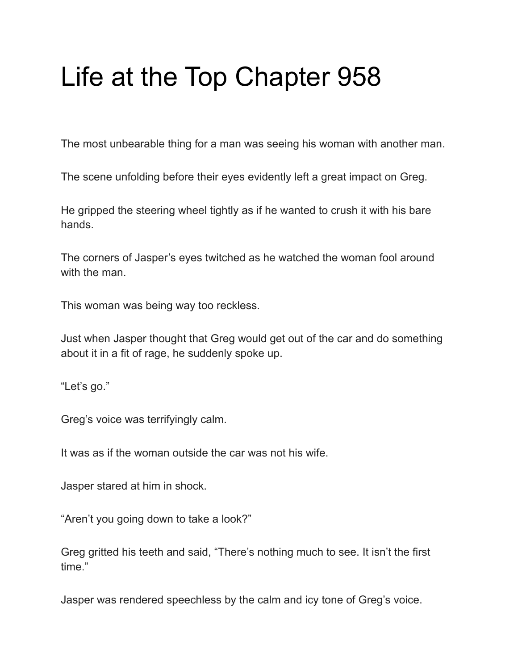## Life at the Top Chapter 958

The most unbearable thing for a man was seeing his woman with another man.

The scene unfolding before their eyes evidently left a great impact on Greg.

He gripped the steering wheel tightly as if he wanted to crush it with his bare hands.

The corners of Jasper's eyes twitched as he watched the woman fool around with the man.

This woman was being way too reckless.

Just when Jasper thought that Greg would get out of the car and do something about it in a fit of rage, he suddenly spoke up.

"Let's go."

Greg's voice was terrifyingly calm.

It was as if the woman outside the car was not his wife.

Jasper stared at him in shock.

"Aren't you going down to take a look?"

Greg gritted his teeth and said, "There's nothing much to see. It isn't the first time."

Jasper was rendered speechless by the calm and icy tone of Greg's voice.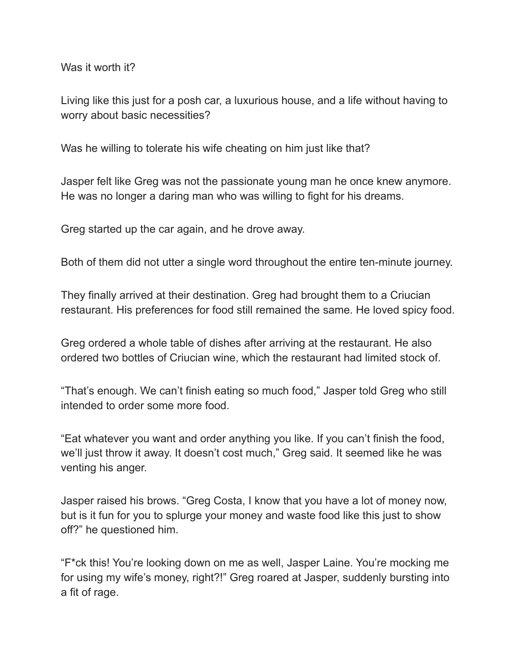Was it worth it?

Living like this just for a posh car, a luxurious house, and a life without having to worry about basic necessities?

Was he willing to tolerate his wife cheating on him just like that?

Jasper felt like Greg was not the passionate young man he once knew anymore. He was no longer a daring man who was willing to fight for his dreams.

Greg started up the car again, and he drove away.

Both of them did not utter a single word throughout the entire ten-minute journey.

They finally arrived at their destination. Greg had brought them to a Criucian restaurant. His preferences for food still remained the same. He loved spicy food.

Greg ordered a whole table of dishes after arriving at the restaurant. He also ordered two bottles of Criucian wine, which the restaurant had limited stock of.

"That's enough. We can't finish eating so much food," Jasper told Greg who still intended to order some more food.

"Eat whatever you want and order anything you like. If you can't finish the food, we'll just throw it away. It doesn't cost much," Greg said. It seemed like he was venting his anger.

Jasper raised his brows. "Greg Costa, I know that you have a lot of money now, but is it fun for you to splurge your money and waste food like this just to show off?" he questioned him.

"F\*ck this! You're looking down on me as well, Jasper Laine. You're mocking me for using my wife's money, right?!" Greg roared at Jasper, suddenly bursting into a fit of rage.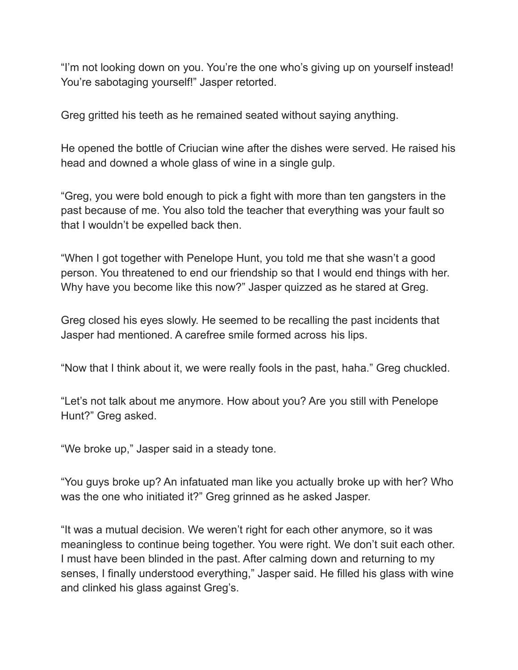"I'm not looking down on you. You're the one who's giving up on yourself instead! You're sabotaging yourself!" Jasper retorted.

Greg gritted his teeth as he remained seated without saying anything.

He opened the bottle of Criucian wine after the dishes were served. He raised his head and downed a whole glass of wine in a single gulp.

"Greg, you were bold enough to pick a fight with more than ten gangsters in the past because of me. You also told the teacher that everything was your fault so that I wouldn't be expelled back then.

"When I got together with Penelope Hunt, you told me that she wasn't a good person. You threatened to end our friendship so that I would end things with her. Why have you become like this now?" Jasper quizzed as he stared at Greg.

Greg closed his eyes slowly. He seemed to be recalling the past incidents that Jasper had mentioned. A carefree smile formed across his lips.

"Now that I think about it, we were really fools in the past, haha." Greg chuckled.

"Let's not talk about me anymore. How about you? Are you still with Penelope Hunt?" Greg asked.

"We broke up," Jasper said in a steady tone.

"You guys broke up? An infatuated man like you actually broke up with her? Who was the one who initiated it?" Greg grinned as he asked Jasper.

"It was a mutual decision. We weren't right for each other anymore, so it was meaningless to continue being together. You were right. We don't suit each other. I must have been blinded in the past. After calming down and returning to my senses, I finally understood everything," Jasper said. He filled his glass with wine and clinked his glass against Greg's.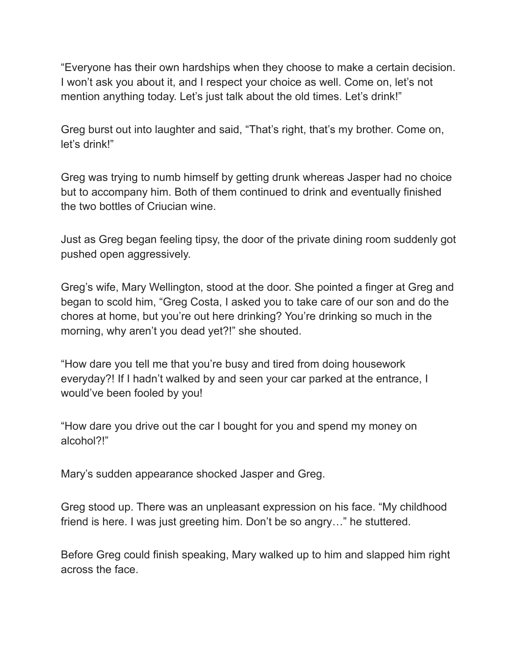"Everyone has their own hardships when they choose to make a certain decision. I won't ask you about it, and I respect your choice as well. Come on, let's not mention anything today. Let's just talk about the old times. Let's drink!"

Greg burst out into laughter and said, "That's right, that's my brother. Come on, let's drink!"

Greg was trying to numb himself by getting drunk whereas Jasper had no choice but to accompany him. Both of them continued to drink and eventually finished the two bottles of Criucian wine.

Just as Greg began feeling tipsy, the door of the private dining room suddenly got pushed open aggressively.

Greg's wife, Mary Wellington, stood at the door. She pointed a finger at Greg and began to scold him, "Greg Costa, I asked you to take care of our son and do the chores at home, but you're out here drinking? You're drinking so much in the morning, why aren't you dead yet?!" she shouted.

"How dare you tell me that you're busy and tired from doing housework everyday?! If I hadn't walked by and seen your car parked at the entrance, I would've been fooled by you!

"How dare you drive out the car I bought for you and spend my money on alcohol?!"

Mary's sudden appearance shocked Jasper and Greg.

Greg stood up. There was an unpleasant expression on his face. "My childhood friend is here. I was just greeting him. Don't be so angry…" he stuttered.

Before Greg could finish speaking, Mary walked up to him and slapped him right across the face.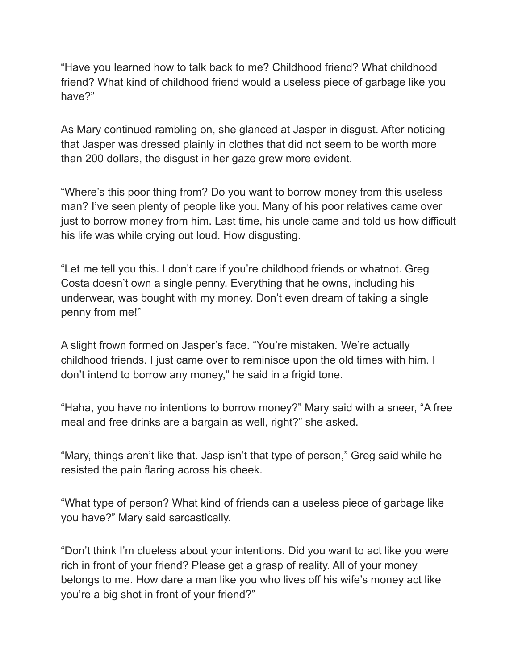"Have you learned how to talk back to me? Childhood friend? What childhood friend? What kind of childhood friend would a useless piece of garbage like you have?"

As Mary continued rambling on, she glanced at Jasper in disgust. After noticing that Jasper was dressed plainly in clothes that did not seem to be worth more than 200 dollars, the disgust in her gaze grew more evident.

"Where's this poor thing from? Do you want to borrow money from this useless man? I've seen plenty of people like you. Many of his poor relatives came over just to borrow money from him. Last time, his uncle came and told us how difficult his life was while crying out loud. How disgusting.

"Let me tell you this. I don't care if you're childhood friends or whatnot. Greg Costa doesn't own a single penny. Everything that he owns, including his underwear, was bought with my money. Don't even dream of taking a single penny from me!"

A slight frown formed on Jasper's face. "You're mistaken. We're actually childhood friends. I just came over to reminisce upon the old times with him. I don't intend to borrow any money," he said in a frigid tone.

"Haha, you have no intentions to borrow money?" Mary said with a sneer, "A free meal and free drinks are a bargain as well, right?" she asked.

"Mary, things aren't like that. Jasp isn't that type of person," Greg said while he resisted the pain flaring across his cheek.

"What type of person? What kind of friends can a useless piece of garbage like you have?" Mary said sarcastically.

"Don't think I'm clueless about your intentions. Did you want to act like you were rich in front of your friend? Please get a grasp of reality. All of your money belongs to me. How dare a man like you who lives off his wife's money act like you're a big shot in front of your friend?"